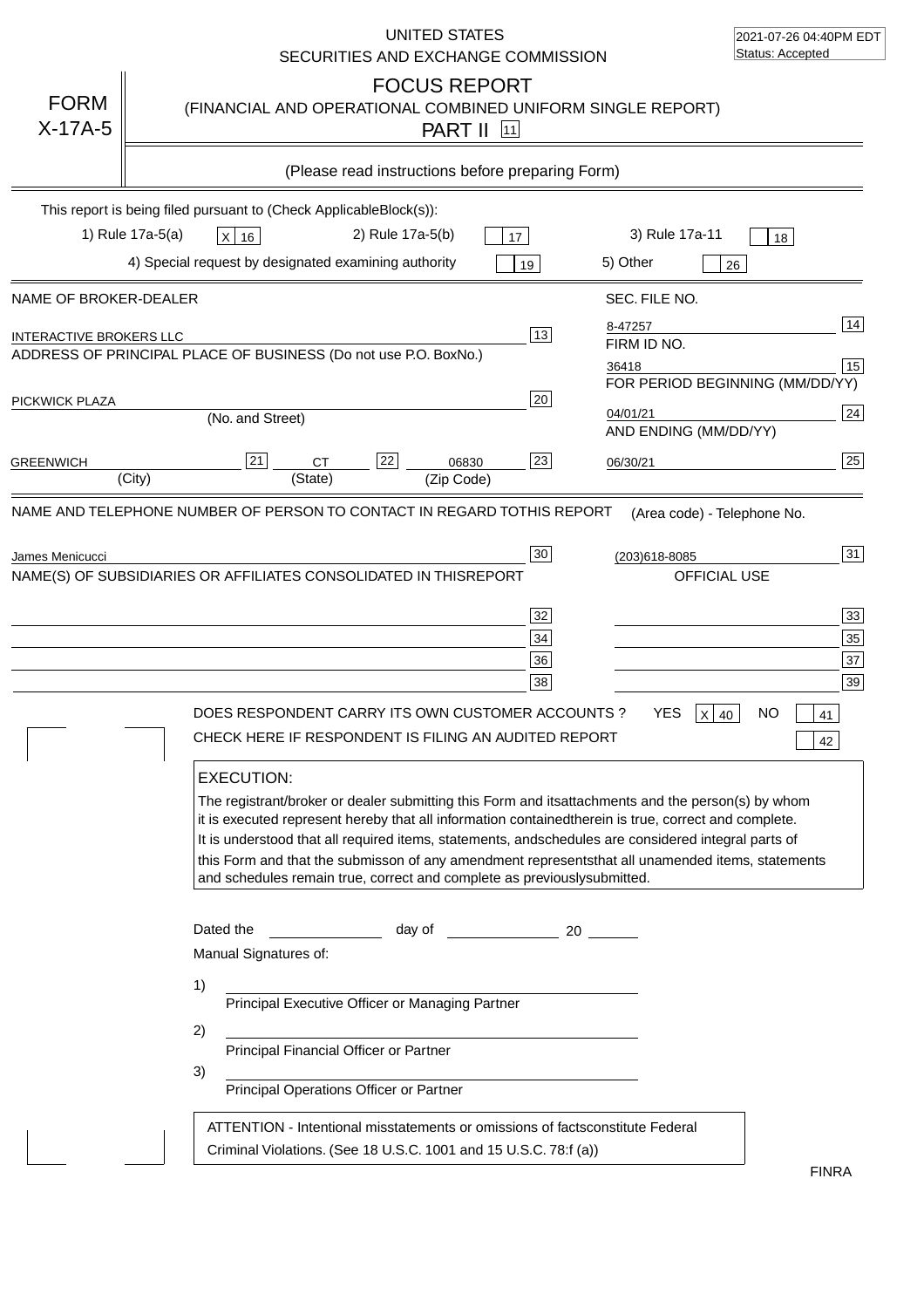|                                                         | UNITED STATES<br>SECURITIES AND EXCHANGE COMMISSION                                                                                                                                                                                                                                                                                                                                                                                                                                                                                                                                                                                                                                 | 2021-07-26 04:40PM EDT<br>Status: Accepted                                                                                                         |
|---------------------------------------------------------|-------------------------------------------------------------------------------------------------------------------------------------------------------------------------------------------------------------------------------------------------------------------------------------------------------------------------------------------------------------------------------------------------------------------------------------------------------------------------------------------------------------------------------------------------------------------------------------------------------------------------------------------------------------------------------------|----------------------------------------------------------------------------------------------------------------------------------------------------|
| <b>FORM</b><br>$X-17A-5$                                | <b>FOCUS REPORT</b><br>(FINANCIAL AND OPERATIONAL COMBINED UNIFORM SINGLE REPORT)<br><b>PART II</b> 11                                                                                                                                                                                                                                                                                                                                                                                                                                                                                                                                                                              |                                                                                                                                                    |
|                                                         | (Please read instructions before preparing Form)                                                                                                                                                                                                                                                                                                                                                                                                                                                                                                                                                                                                                                    |                                                                                                                                                    |
|                                                         | This report is being filed pursuant to (Check Applicable<br>$Block(s)$ :<br>1) Rule 17a-5(a)<br>2) Rule 17a-5(b)<br>3) Rule 17a-11<br>X 16<br>17                                                                                                                                                                                                                                                                                                                                                                                                                                                                                                                                    | 18                                                                                                                                                 |
|                                                         | 4) Special request by designated examining authority<br>5) Other<br>19                                                                                                                                                                                                                                                                                                                                                                                                                                                                                                                                                                                                              | 26                                                                                                                                                 |
| NAME OF BROKER-DEALER<br><b>INTERACTIVE BROKERS LLC</b> | SEC. FILE NO.<br>8-47257<br>13<br>FIRM ID NO.<br>ADDRESS OF PRINCIPAL PLACE OF BUSINESS (Do not use P.O. Box<br>No.)                                                                                                                                                                                                                                                                                                                                                                                                                                                                                                                                                                | 14                                                                                                                                                 |
| PICKWICK PLAZA                                          | 36418<br>20<br>04/01/21<br>(No. and Street)                                                                                                                                                                                                                                                                                                                                                                                                                                                                                                                                                                                                                                         | 15<br>FOR PERIOD BEGINNING (MM/DD/YY)<br>24                                                                                                        |
| <b>GREENWICH</b>                                        | AND ENDING (MM/DD/YY)<br>22<br>23<br>21<br><b>CT</b><br>06830<br>06/30/21<br>(State)<br>(City)<br>(Zip Code)                                                                                                                                                                                                                                                                                                                                                                                                                                                                                                                                                                        | 25                                                                                                                                                 |
|                                                         | NAME(S) OF SUBSIDIARIES OR AFFILIATES CONSOLIDATED IN THIS<br><b>REPORT</b><br>32<br>34<br>36<br>38<br>DOES RESPONDENT CARRY ITS OWN CUSTOMER ACCOUNTS ?<br>YES.<br>CHECK HERE IF RESPONDENT IS FILING AN AUDITED REPORT<br><b>EXECUTION:</b><br>The registrant/broker or dealer submitting this Form and its<br>it is executed represent hereby that all information contained<br>therein is true, correct and complete.<br>It is understood that all required items, statements, and<br>schedules are considered integral parts of<br>this Form and that the submisson of any amendment represents<br>and schedules remain true, correct and complete as previously<br>submitted. | OFFICIAL USE<br>33<br>35<br>37<br>39<br>x<br>NΟ<br>40<br>41<br>42<br>attachments and the person(s) by whom<br>that all unamended items, statements |
|                                                         | Dated the<br>day of<br>20<br>Manual Signatures of:<br>1)<br>Principal Executive Officer or Managing Partner<br>2)<br>Principal Financial Officer or Partner<br>3)<br>Principal Operations Officer or Partner<br>ATTENTION - Intentional misstatements or omissions of facts<br>constitute Federal<br>Criminal Violations. (See 18 U.S.C. 1001 and 15 U.S.C. 78:f (a)                                                                                                                                                                                                                                                                                                                | <b>FINRA</b>                                                                                                                                       |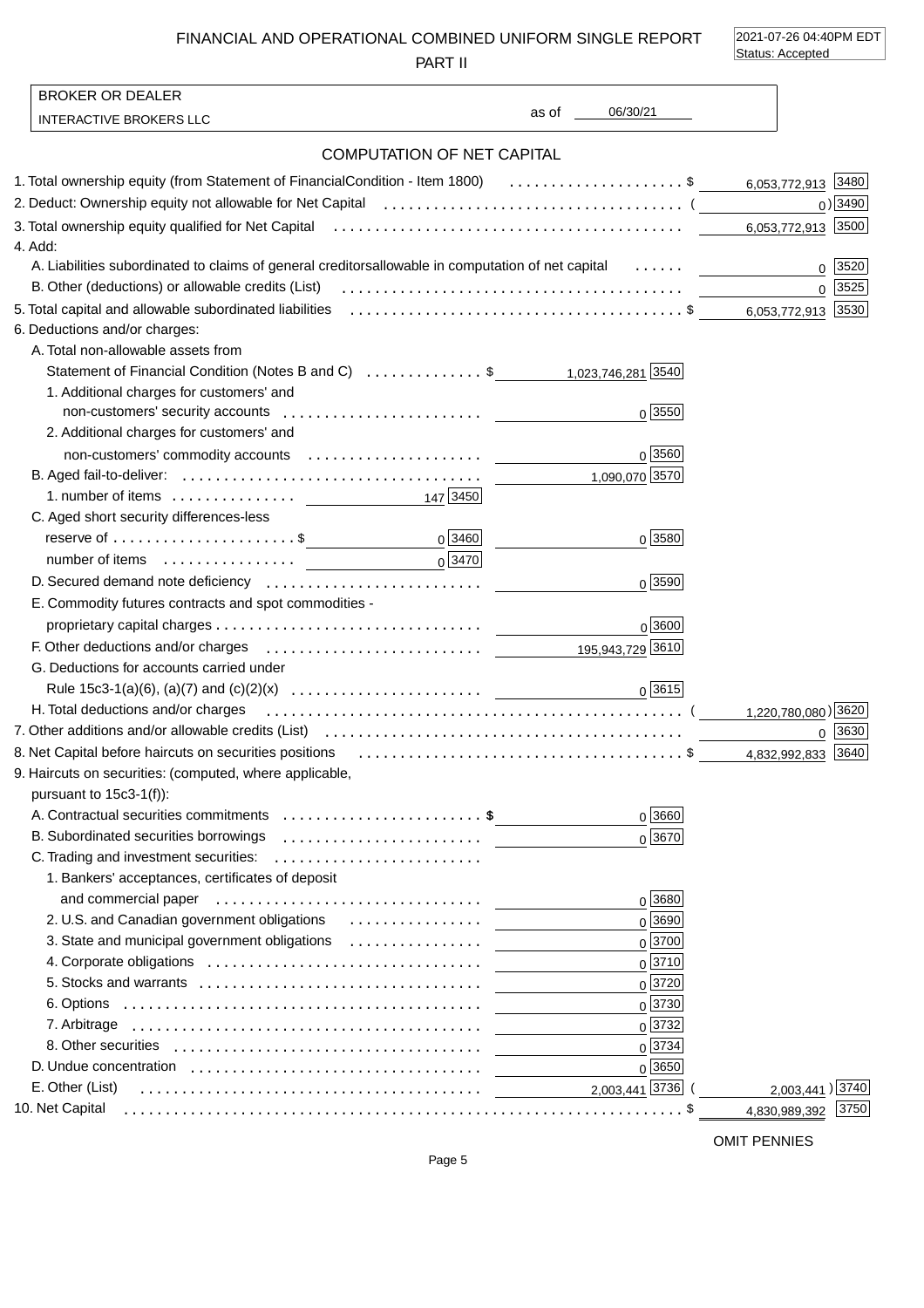FINANCIAL AND OPERATIONAL COMBINED UNIFORM SINGLE REPORT

PART II

2021-07-26 04:40PM EDT Status: Accepted

| 06/30/21<br>as of the control<br><b>INTERACTIVE BROKERS LLC</b><br><b>COMPUTATION OF NET CAPITAL</b><br>1. Total ownership equity (from Statement of Financial Condition - Item 1800) \$ 6,053,772,913 3480<br>$0)$ 3490<br>6,053,772,913 3500<br>4. Add:<br>A. Liabilities subordinated to claims of general creditors allowable in computation of net capital<br>0   3520<br>B. Other (deductions) or allowable credits (List)<br>0 3525<br>5. Total capital and allowable subordinated liabilities (all contained contained and subset of \$<br>6,053,772,913 3530<br>6. Deductions and/or charges:<br>A. Total non-allowable assets from<br>Statement of Financial Condition (Notes B and C) \$ 1,023,746,281 3540<br>1. Additional charges for customers' and<br>$0\sqrt{3550}$<br>2. Additional charges for customers' and<br>$0\sqrt{3560}$<br>1,090,070 3570<br>147 3450<br>C. Aged short security differences-less<br>$0^{3460}$<br>reserve of $\dots\dots\dots\dots\dots\dots\dots\dots$ \$<br>0 3580<br>$0\sqrt{3470}$<br>0 3590<br>E. Commodity futures contracts and spot commodities -<br>0 3600<br>F. Other deductions and/or charges expansion contracts are the contracted of the deductions and/or charges expansion contract to the deduction of the deduction of the deduction of the deduction of the deduction of the dedu<br>G. Deductions for accounts carried under<br>0 3615 <br>H. Total deductions and/or charges<br>1,220,780,080) 3620<br>$0$ 3630<br>8. Net Capital before haircuts on securities positions (all content content content of \$<br>4,832,992,833 3640<br>9. Haircuts on securities: (computed, where applicable,<br>pursuant to $15c3-1(f)$ :<br>0 3660<br>A. Contractual securities commitments \$<br>B. Subordinated securities borrowings<br>$0\sqrt{3670}$<br>C. Trading and investment securities:<br>1. Bankers' acceptances, certificates of deposit<br>0 3680<br>2. U.S. and Canadian government obligations<br>0 3690<br>$0^{3700}$<br>3. State and municipal government obligations<br>0 3710<br>0 3720<br>$0\sqrt{3730}$<br>$0\sqrt{3732}$<br>$0\sqrt{3734}$<br>$0\sqrt{3650}$<br>2,003,441 3736<br>2,003,441) 3740<br>E. Other (List)<br>10. Net Capital<br>3750<br>4,830,989,392 | <b>BROKER OR DEALER</b> |  |
|---------------------------------------------------------------------------------------------------------------------------------------------------------------------------------------------------------------------------------------------------------------------------------------------------------------------------------------------------------------------------------------------------------------------------------------------------------------------------------------------------------------------------------------------------------------------------------------------------------------------------------------------------------------------------------------------------------------------------------------------------------------------------------------------------------------------------------------------------------------------------------------------------------------------------------------------------------------------------------------------------------------------------------------------------------------------------------------------------------------------------------------------------------------------------------------------------------------------------------------------------------------------------------------------------------------------------------------------------------------------------------------------------------------------------------------------------------------------------------------------------------------------------------------------------------------------------------------------------------------------------------------------------------------------------------------------------------------------------------------------------------------------------------------------------------------------------------------------------------------------------------------------------------------------------------------------------------------------------------------------------------------------------------------------------------------------------------------------------------------------------------------------------------------------------------------------------------------------------------------------|-------------------------|--|
|                                                                                                                                                                                                                                                                                                                                                                                                                                                                                                                                                                                                                                                                                                                                                                                                                                                                                                                                                                                                                                                                                                                                                                                                                                                                                                                                                                                                                                                                                                                                                                                                                                                                                                                                                                                                                                                                                                                                                                                                                                                                                                                                                                                                                                             |                         |  |
|                                                                                                                                                                                                                                                                                                                                                                                                                                                                                                                                                                                                                                                                                                                                                                                                                                                                                                                                                                                                                                                                                                                                                                                                                                                                                                                                                                                                                                                                                                                                                                                                                                                                                                                                                                                                                                                                                                                                                                                                                                                                                                                                                                                                                                             |                         |  |
|                                                                                                                                                                                                                                                                                                                                                                                                                                                                                                                                                                                                                                                                                                                                                                                                                                                                                                                                                                                                                                                                                                                                                                                                                                                                                                                                                                                                                                                                                                                                                                                                                                                                                                                                                                                                                                                                                                                                                                                                                                                                                                                                                                                                                                             |                         |  |
|                                                                                                                                                                                                                                                                                                                                                                                                                                                                                                                                                                                                                                                                                                                                                                                                                                                                                                                                                                                                                                                                                                                                                                                                                                                                                                                                                                                                                                                                                                                                                                                                                                                                                                                                                                                                                                                                                                                                                                                                                                                                                                                                                                                                                                             |                         |  |
|                                                                                                                                                                                                                                                                                                                                                                                                                                                                                                                                                                                                                                                                                                                                                                                                                                                                                                                                                                                                                                                                                                                                                                                                                                                                                                                                                                                                                                                                                                                                                                                                                                                                                                                                                                                                                                                                                                                                                                                                                                                                                                                                                                                                                                             |                         |  |
|                                                                                                                                                                                                                                                                                                                                                                                                                                                                                                                                                                                                                                                                                                                                                                                                                                                                                                                                                                                                                                                                                                                                                                                                                                                                                                                                                                                                                                                                                                                                                                                                                                                                                                                                                                                                                                                                                                                                                                                                                                                                                                                                                                                                                                             |                         |  |
|                                                                                                                                                                                                                                                                                                                                                                                                                                                                                                                                                                                                                                                                                                                                                                                                                                                                                                                                                                                                                                                                                                                                                                                                                                                                                                                                                                                                                                                                                                                                                                                                                                                                                                                                                                                                                                                                                                                                                                                                                                                                                                                                                                                                                                             |                         |  |
|                                                                                                                                                                                                                                                                                                                                                                                                                                                                                                                                                                                                                                                                                                                                                                                                                                                                                                                                                                                                                                                                                                                                                                                                                                                                                                                                                                                                                                                                                                                                                                                                                                                                                                                                                                                                                                                                                                                                                                                                                                                                                                                                                                                                                                             |                         |  |
|                                                                                                                                                                                                                                                                                                                                                                                                                                                                                                                                                                                                                                                                                                                                                                                                                                                                                                                                                                                                                                                                                                                                                                                                                                                                                                                                                                                                                                                                                                                                                                                                                                                                                                                                                                                                                                                                                                                                                                                                                                                                                                                                                                                                                                             |                         |  |
|                                                                                                                                                                                                                                                                                                                                                                                                                                                                                                                                                                                                                                                                                                                                                                                                                                                                                                                                                                                                                                                                                                                                                                                                                                                                                                                                                                                                                                                                                                                                                                                                                                                                                                                                                                                                                                                                                                                                                                                                                                                                                                                                                                                                                                             |                         |  |
|                                                                                                                                                                                                                                                                                                                                                                                                                                                                                                                                                                                                                                                                                                                                                                                                                                                                                                                                                                                                                                                                                                                                                                                                                                                                                                                                                                                                                                                                                                                                                                                                                                                                                                                                                                                                                                                                                                                                                                                                                                                                                                                                                                                                                                             |                         |  |
|                                                                                                                                                                                                                                                                                                                                                                                                                                                                                                                                                                                                                                                                                                                                                                                                                                                                                                                                                                                                                                                                                                                                                                                                                                                                                                                                                                                                                                                                                                                                                                                                                                                                                                                                                                                                                                                                                                                                                                                                                                                                                                                                                                                                                                             |                         |  |
|                                                                                                                                                                                                                                                                                                                                                                                                                                                                                                                                                                                                                                                                                                                                                                                                                                                                                                                                                                                                                                                                                                                                                                                                                                                                                                                                                                                                                                                                                                                                                                                                                                                                                                                                                                                                                                                                                                                                                                                                                                                                                                                                                                                                                                             |                         |  |
|                                                                                                                                                                                                                                                                                                                                                                                                                                                                                                                                                                                                                                                                                                                                                                                                                                                                                                                                                                                                                                                                                                                                                                                                                                                                                                                                                                                                                                                                                                                                                                                                                                                                                                                                                                                                                                                                                                                                                                                                                                                                                                                                                                                                                                             |                         |  |
|                                                                                                                                                                                                                                                                                                                                                                                                                                                                                                                                                                                                                                                                                                                                                                                                                                                                                                                                                                                                                                                                                                                                                                                                                                                                                                                                                                                                                                                                                                                                                                                                                                                                                                                                                                                                                                                                                                                                                                                                                                                                                                                                                                                                                                             |                         |  |
|                                                                                                                                                                                                                                                                                                                                                                                                                                                                                                                                                                                                                                                                                                                                                                                                                                                                                                                                                                                                                                                                                                                                                                                                                                                                                                                                                                                                                                                                                                                                                                                                                                                                                                                                                                                                                                                                                                                                                                                                                                                                                                                                                                                                                                             |                         |  |
|                                                                                                                                                                                                                                                                                                                                                                                                                                                                                                                                                                                                                                                                                                                                                                                                                                                                                                                                                                                                                                                                                                                                                                                                                                                                                                                                                                                                                                                                                                                                                                                                                                                                                                                                                                                                                                                                                                                                                                                                                                                                                                                                                                                                                                             |                         |  |
|                                                                                                                                                                                                                                                                                                                                                                                                                                                                                                                                                                                                                                                                                                                                                                                                                                                                                                                                                                                                                                                                                                                                                                                                                                                                                                                                                                                                                                                                                                                                                                                                                                                                                                                                                                                                                                                                                                                                                                                                                                                                                                                                                                                                                                             |                         |  |
|                                                                                                                                                                                                                                                                                                                                                                                                                                                                                                                                                                                                                                                                                                                                                                                                                                                                                                                                                                                                                                                                                                                                                                                                                                                                                                                                                                                                                                                                                                                                                                                                                                                                                                                                                                                                                                                                                                                                                                                                                                                                                                                                                                                                                                             |                         |  |
|                                                                                                                                                                                                                                                                                                                                                                                                                                                                                                                                                                                                                                                                                                                                                                                                                                                                                                                                                                                                                                                                                                                                                                                                                                                                                                                                                                                                                                                                                                                                                                                                                                                                                                                                                                                                                                                                                                                                                                                                                                                                                                                                                                                                                                             |                         |  |
|                                                                                                                                                                                                                                                                                                                                                                                                                                                                                                                                                                                                                                                                                                                                                                                                                                                                                                                                                                                                                                                                                                                                                                                                                                                                                                                                                                                                                                                                                                                                                                                                                                                                                                                                                                                                                                                                                                                                                                                                                                                                                                                                                                                                                                             |                         |  |
|                                                                                                                                                                                                                                                                                                                                                                                                                                                                                                                                                                                                                                                                                                                                                                                                                                                                                                                                                                                                                                                                                                                                                                                                                                                                                                                                                                                                                                                                                                                                                                                                                                                                                                                                                                                                                                                                                                                                                                                                                                                                                                                                                                                                                                             |                         |  |
|                                                                                                                                                                                                                                                                                                                                                                                                                                                                                                                                                                                                                                                                                                                                                                                                                                                                                                                                                                                                                                                                                                                                                                                                                                                                                                                                                                                                                                                                                                                                                                                                                                                                                                                                                                                                                                                                                                                                                                                                                                                                                                                                                                                                                                             |                         |  |
|                                                                                                                                                                                                                                                                                                                                                                                                                                                                                                                                                                                                                                                                                                                                                                                                                                                                                                                                                                                                                                                                                                                                                                                                                                                                                                                                                                                                                                                                                                                                                                                                                                                                                                                                                                                                                                                                                                                                                                                                                                                                                                                                                                                                                                             |                         |  |
|                                                                                                                                                                                                                                                                                                                                                                                                                                                                                                                                                                                                                                                                                                                                                                                                                                                                                                                                                                                                                                                                                                                                                                                                                                                                                                                                                                                                                                                                                                                                                                                                                                                                                                                                                                                                                                                                                                                                                                                                                                                                                                                                                                                                                                             |                         |  |
|                                                                                                                                                                                                                                                                                                                                                                                                                                                                                                                                                                                                                                                                                                                                                                                                                                                                                                                                                                                                                                                                                                                                                                                                                                                                                                                                                                                                                                                                                                                                                                                                                                                                                                                                                                                                                                                                                                                                                                                                                                                                                                                                                                                                                                             |                         |  |
|                                                                                                                                                                                                                                                                                                                                                                                                                                                                                                                                                                                                                                                                                                                                                                                                                                                                                                                                                                                                                                                                                                                                                                                                                                                                                                                                                                                                                                                                                                                                                                                                                                                                                                                                                                                                                                                                                                                                                                                                                                                                                                                                                                                                                                             |                         |  |
|                                                                                                                                                                                                                                                                                                                                                                                                                                                                                                                                                                                                                                                                                                                                                                                                                                                                                                                                                                                                                                                                                                                                                                                                                                                                                                                                                                                                                                                                                                                                                                                                                                                                                                                                                                                                                                                                                                                                                                                                                                                                                                                                                                                                                                             |                         |  |
|                                                                                                                                                                                                                                                                                                                                                                                                                                                                                                                                                                                                                                                                                                                                                                                                                                                                                                                                                                                                                                                                                                                                                                                                                                                                                                                                                                                                                                                                                                                                                                                                                                                                                                                                                                                                                                                                                                                                                                                                                                                                                                                                                                                                                                             |                         |  |
|                                                                                                                                                                                                                                                                                                                                                                                                                                                                                                                                                                                                                                                                                                                                                                                                                                                                                                                                                                                                                                                                                                                                                                                                                                                                                                                                                                                                                                                                                                                                                                                                                                                                                                                                                                                                                                                                                                                                                                                                                                                                                                                                                                                                                                             |                         |  |
|                                                                                                                                                                                                                                                                                                                                                                                                                                                                                                                                                                                                                                                                                                                                                                                                                                                                                                                                                                                                                                                                                                                                                                                                                                                                                                                                                                                                                                                                                                                                                                                                                                                                                                                                                                                                                                                                                                                                                                                                                                                                                                                                                                                                                                             |                         |  |
|                                                                                                                                                                                                                                                                                                                                                                                                                                                                                                                                                                                                                                                                                                                                                                                                                                                                                                                                                                                                                                                                                                                                                                                                                                                                                                                                                                                                                                                                                                                                                                                                                                                                                                                                                                                                                                                                                                                                                                                                                                                                                                                                                                                                                                             |                         |  |
|                                                                                                                                                                                                                                                                                                                                                                                                                                                                                                                                                                                                                                                                                                                                                                                                                                                                                                                                                                                                                                                                                                                                                                                                                                                                                                                                                                                                                                                                                                                                                                                                                                                                                                                                                                                                                                                                                                                                                                                                                                                                                                                                                                                                                                             |                         |  |
|                                                                                                                                                                                                                                                                                                                                                                                                                                                                                                                                                                                                                                                                                                                                                                                                                                                                                                                                                                                                                                                                                                                                                                                                                                                                                                                                                                                                                                                                                                                                                                                                                                                                                                                                                                                                                                                                                                                                                                                                                                                                                                                                                                                                                                             |                         |  |
|                                                                                                                                                                                                                                                                                                                                                                                                                                                                                                                                                                                                                                                                                                                                                                                                                                                                                                                                                                                                                                                                                                                                                                                                                                                                                                                                                                                                                                                                                                                                                                                                                                                                                                                                                                                                                                                                                                                                                                                                                                                                                                                                                                                                                                             |                         |  |
|                                                                                                                                                                                                                                                                                                                                                                                                                                                                                                                                                                                                                                                                                                                                                                                                                                                                                                                                                                                                                                                                                                                                                                                                                                                                                                                                                                                                                                                                                                                                                                                                                                                                                                                                                                                                                                                                                                                                                                                                                                                                                                                                                                                                                                             |                         |  |
|                                                                                                                                                                                                                                                                                                                                                                                                                                                                                                                                                                                                                                                                                                                                                                                                                                                                                                                                                                                                                                                                                                                                                                                                                                                                                                                                                                                                                                                                                                                                                                                                                                                                                                                                                                                                                                                                                                                                                                                                                                                                                                                                                                                                                                             |                         |  |
|                                                                                                                                                                                                                                                                                                                                                                                                                                                                                                                                                                                                                                                                                                                                                                                                                                                                                                                                                                                                                                                                                                                                                                                                                                                                                                                                                                                                                                                                                                                                                                                                                                                                                                                                                                                                                                                                                                                                                                                                                                                                                                                                                                                                                                             |                         |  |
|                                                                                                                                                                                                                                                                                                                                                                                                                                                                                                                                                                                                                                                                                                                                                                                                                                                                                                                                                                                                                                                                                                                                                                                                                                                                                                                                                                                                                                                                                                                                                                                                                                                                                                                                                                                                                                                                                                                                                                                                                                                                                                                                                                                                                                             |                         |  |
|                                                                                                                                                                                                                                                                                                                                                                                                                                                                                                                                                                                                                                                                                                                                                                                                                                                                                                                                                                                                                                                                                                                                                                                                                                                                                                                                                                                                                                                                                                                                                                                                                                                                                                                                                                                                                                                                                                                                                                                                                                                                                                                                                                                                                                             |                         |  |
|                                                                                                                                                                                                                                                                                                                                                                                                                                                                                                                                                                                                                                                                                                                                                                                                                                                                                                                                                                                                                                                                                                                                                                                                                                                                                                                                                                                                                                                                                                                                                                                                                                                                                                                                                                                                                                                                                                                                                                                                                                                                                                                                                                                                                                             |                         |  |
|                                                                                                                                                                                                                                                                                                                                                                                                                                                                                                                                                                                                                                                                                                                                                                                                                                                                                                                                                                                                                                                                                                                                                                                                                                                                                                                                                                                                                                                                                                                                                                                                                                                                                                                                                                                                                                                                                                                                                                                                                                                                                                                                                                                                                                             |                         |  |
|                                                                                                                                                                                                                                                                                                                                                                                                                                                                                                                                                                                                                                                                                                                                                                                                                                                                                                                                                                                                                                                                                                                                                                                                                                                                                                                                                                                                                                                                                                                                                                                                                                                                                                                                                                                                                                                                                                                                                                                                                                                                                                                                                                                                                                             |                         |  |
|                                                                                                                                                                                                                                                                                                                                                                                                                                                                                                                                                                                                                                                                                                                                                                                                                                                                                                                                                                                                                                                                                                                                                                                                                                                                                                                                                                                                                                                                                                                                                                                                                                                                                                                                                                                                                                                                                                                                                                                                                                                                                                                                                                                                                                             |                         |  |
|                                                                                                                                                                                                                                                                                                                                                                                                                                                                                                                                                                                                                                                                                                                                                                                                                                                                                                                                                                                                                                                                                                                                                                                                                                                                                                                                                                                                                                                                                                                                                                                                                                                                                                                                                                                                                                                                                                                                                                                                                                                                                                                                                                                                                                             |                         |  |
|                                                                                                                                                                                                                                                                                                                                                                                                                                                                                                                                                                                                                                                                                                                                                                                                                                                                                                                                                                                                                                                                                                                                                                                                                                                                                                                                                                                                                                                                                                                                                                                                                                                                                                                                                                                                                                                                                                                                                                                                                                                                                                                                                                                                                                             |                         |  |

OMIT PENNIES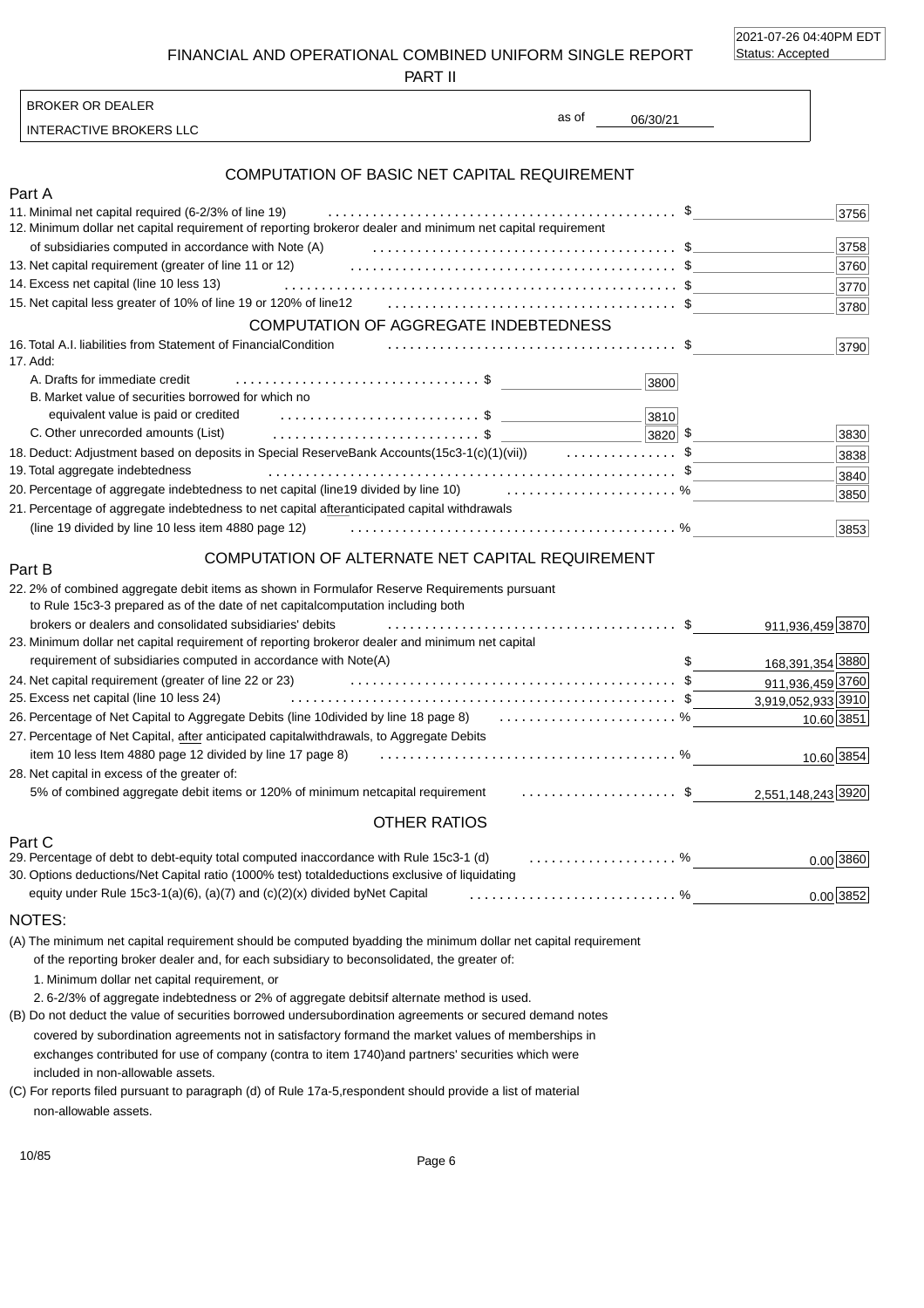2021-07-26 04:40PM EDT Status: Accepted

FINANCIAL AND OPERATIONAL COMBINED UNIFORM SINGLE REPORT

PART II

INTERACTIVE BROKERS LLC

BROKER OR DEALER

as of

06/30/21

## COMPUTATION OF BASIC NET CAPITAL REQUIREMENT

| Part A                                                                                                                                   |      |
|------------------------------------------------------------------------------------------------------------------------------------------|------|
| 11. Minimal net capital required (6-2/3% of line 19)                                                                                     | 3756 |
| or dealer and minimum net capital requirement<br>12. Minimum dollar net capital requirement of reporting broker                          |      |
| of subsidiaries computed in accordance with Note (A)                                                                                     | 3758 |
| 13. Net capital requirement (greater of line 11 or 12)                                                                                   | 3760 |
| 14. Excess net capital (line 10 less 13)                                                                                                 | 3770 |
|                                                                                                                                          | 3780 |
| COMPUTATION OF AGGREGATE INDEBTEDNESS                                                                                                    |      |
| 16. Total A.I. liabilities from Statement of Financial Condition<br>17. Add:                                                             | 3790 |
| A. Drafts for immediate credit<br>3800                                                                                                   |      |
| B. Market value of securities borrowed for which no                                                                                      |      |
| equivalent value is paid or credited<br>3810                                                                                             |      |
| C. Other unrecorded amounts (List)<br>$ 3820 $ \$                                                                                        | 3830 |
|                                                                                                                                          | 3838 |
| 19. Total aggregate indebtedness                                                                                                         | 3840 |
| 19 divided by line 10) $\ldots$ , $\ldots$ , $\ldots$ , $\ldots$ , $\%$<br>20. Percentage of aggregate indebtedness to net capital (line | 3850 |
| 21. Percentage of aggregate indebtedness to net capital after<br>anticipated capital withdrawals                                         |      |
| (line 19 divided by line 10 less item 4880 page 12)                                                                                      | 3853 |
|                                                                                                                                          |      |

#### COMPUTATION OF ALTERNATE NET CAPITAL REQUIREMENT

| 22.2% of combined aggregate debit items as shown in Formula<br>for Reserve Requirements pursuant<br>to Rule 15c3-3 prepared as of the date of net capital computation including both                                                          |                    |
|-----------------------------------------------------------------------------------------------------------------------------------------------------------------------------------------------------------------------------------------------|--------------------|
| brokers or dealers and consolidated subsidiaries' debits                                                                                                                                                                                      | 911,936,459 3870   |
| or dealer and minimum net capital<br>23. Minimum dollar net capital requirement of reporting broker                                                                                                                                           |                    |
| requirement of subsidiaries computed in accordance with Note(A)                                                                                                                                                                               | 168,391,354 3880   |
| 24. Net capital requirement (greater of line 22 or 23)                                                                                                                                                                                        | 911,936,459 3760   |
| 25. Excess net capital (line 10 less 24)                                                                                                                                                                                                      | 3,919,052,933 3910 |
| 26. Percentage of Net Capital to Aggregate Debits (line 10 divided by line 18 page 8)  %                                                                                                                                                      | 10.60 3851         |
| withdrawals, to Aggregate Debits<br>27. Percentage of Net Capital, after anticipated capital                                                                                                                                                  |                    |
| item 10 less Item 4880 page 12 divided by line 17 page 8)                                                                                                                                                                                     | 10.60 3854         |
| 28. Net capital in excess of the greater of:                                                                                                                                                                                                  |                    |
| capital requirement \$<br>5% of combined aggregate debit items or 120% of minimum net                                                                                                                                                         | 2,551,148,243 3920 |
| <b>OTHER RATIOS</b>                                                                                                                                                                                                                           |                    |
| Part C<br>$\overline{a}$ , and the contract of the contract of the contract of the contract of the contract of the contract of the contract of the contract of the contract of the contract of the contract of the contract of the contract o |                    |

| 29. Percentage of debt to debt-equity total computed in accordance with Rule 15c3-1 (d) entitled in the state of %             |  | $0.00$ 3860 |
|--------------------------------------------------------------------------------------------------------------------------------|--|-------------|
| 30. Options deductions/Net Capital ratio (1000% test) total deductions exclusive of liquidating                                |  |             |
| equity under Rule 15c3-1(a)(6), (a)(7) and (c)(2)(x) divided by Net Capital $\ldots \ldots \ldots \ldots \ldots \ldots \ldots$ |  | $0.00$ 3852 |

#### NOTES:

Part B

(A) The minimum net capital requirement should be computed by adding the minimum dollar net capital requirement of the reporting broker dealer and, for each subsidiary to be consolidated, the greater of:

1. Minimum dollar net capital requirement, or

2. 6-2/3% of aggregate indebtedness or 2% of aggregate debits if alternate method is used.

(B) Do not deduct the value of securities borrowed under subordination agreements or secured demand notes

included in non-allowable assets. covered by subordination agreements not in satisfactory form and the market values of memberships in exchanges contributed for use of company (contra to item 1740) and partners' securities which were

non-allowable assets. (C) For reports filed pursuant to paragraph (d) of Rule 17a-5, respondent should provide a list of material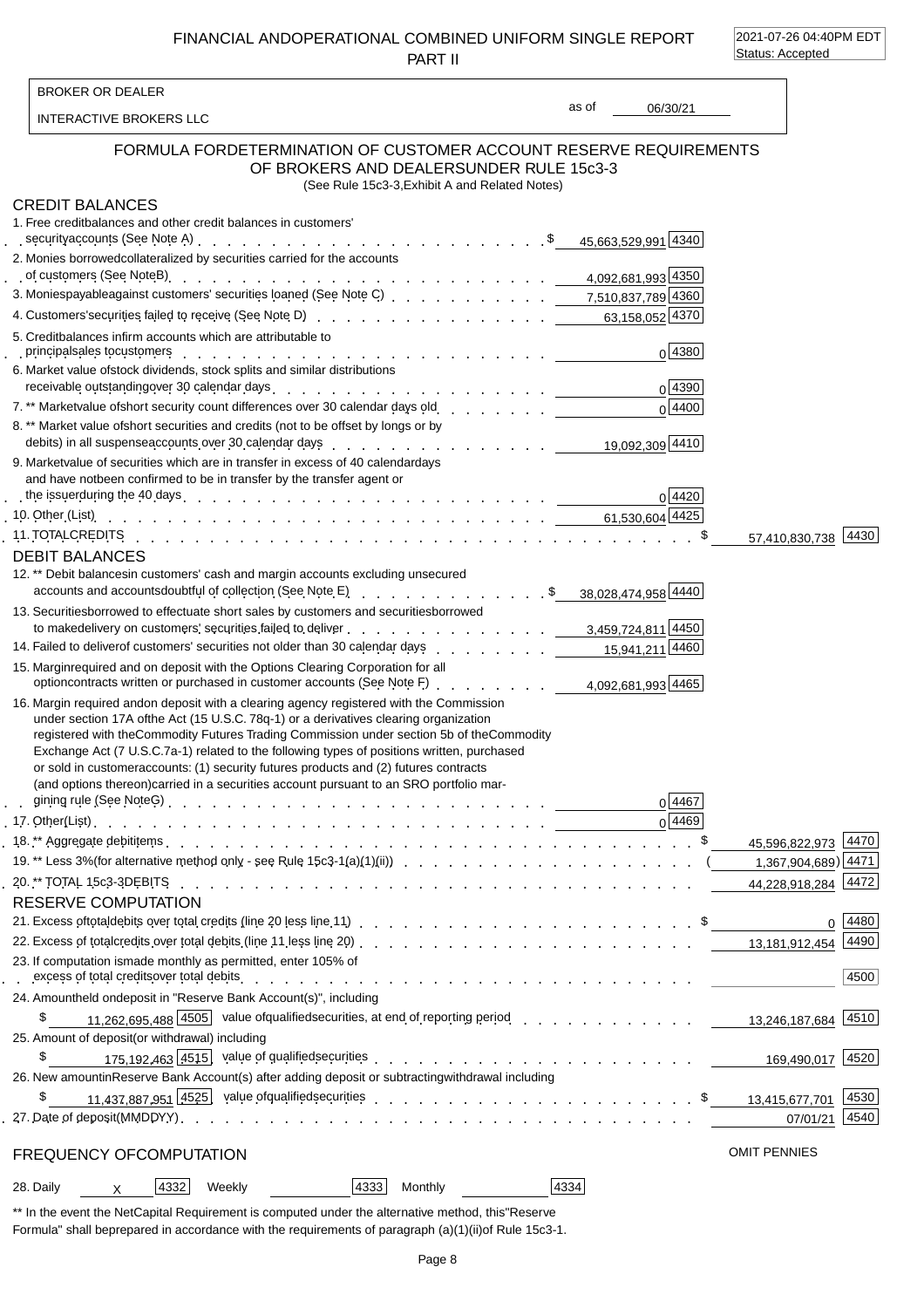FINANCIAL AND OPERATIONAL COMBINED UNIFORM SINGLE REPORT PART II

2021-07-26 04:40PM EDT Status: Accepted

| <b>BROKER OR DEALER</b>                                                                   |                                                                                                                                                                                                                                                                                                                                                                                                                                                                                                                                                                    |       |                |                     |                     |
|-------------------------------------------------------------------------------------------|--------------------------------------------------------------------------------------------------------------------------------------------------------------------------------------------------------------------------------------------------------------------------------------------------------------------------------------------------------------------------------------------------------------------------------------------------------------------------------------------------------------------------------------------------------------------|-------|----------------|---------------------|---------------------|
| INTERACTIVE BROKERS LLC                                                                   |                                                                                                                                                                                                                                                                                                                                                                                                                                                                                                                                                                    | as of | 06/30/21       |                     |                     |
|                                                                                           | FORMULA FOR DETERMINATION OF CUSTOMER ACCOUNT RESERVE REQUIREMENTS<br>OF BROKERS AND DEALERS UNDER RULE 15c3-3<br>(See Rule 15c3-3, Exhibit A and Related Notes)                                                                                                                                                                                                                                                                                                                                                                                                   |       |                |                     |                     |
| <b>CREDIT BALANCES</b><br>1. Free credit balances and other credit balances in customers' | security accounts (See Note A) et al. All and the security accounts (See Note A) et al. All and the security accounts (See Note A) et al. All and the security accounts (See Note A) et al. All and the security and the secu                                                                                                                                                                                                                                                                                                                                      |       |                |                     |                     |
| 2. Monies borrowed collateralized by securities carried for the accounts                  | of customers (See Note B) Reserved By Reserved By Reserved By Reserved By Reserved By Reserved By Reserved By R                                                                                                                                                                                                                                                                                                                                                                                                                                                    |       |                |                     |                     |
|                                                                                           | 3. Monies payable against customers' securities loaned (See Note C) et al., al., al., al., 2,510,837,789 4360                                                                                                                                                                                                                                                                                                                                                                                                                                                      |       |                |                     |                     |
| 5. Credit balances in firm accounts which are attributable to                             | 4. Customers' securities failed to receive (See Note D) enter contact contact contact contact contact contact contact contact contact contact contact contact contact contact contact contact contact contact contact contact                                                                                                                                                                                                                                                                                                                                      |       |                |                     |                     |
| 6. Market value of stock dividends, stock splits and similar distributions                | principal sales to customers with a state of the state of the state of the state of the state of the state of t                                                                                                                                                                                                                                                                                                                                                                                                                                                    |       | 0 4380         |                     |                     |
|                                                                                           | receivable outstanding over 30 calendar days enter the content of the content of the content of the content of                                                                                                                                                                                                                                                                                                                                                                                                                                                     |       | 0 4390         |                     |                     |
|                                                                                           | 7.** Market value of short security count differences over 30 calendar days old [14] The Community of the Market                                                                                                                                                                                                                                                                                                                                                                                                                                                   |       | $0\sqrt{4400}$ |                     |                     |
|                                                                                           | 8. ** Market value of short securities and credits (not to be offset by longs or by                                                                                                                                                                                                                                                                                                                                                                                                                                                                                |       |                |                     |                     |
|                                                                                           |                                                                                                                                                                                                                                                                                                                                                                                                                                                                                                                                                                    |       |                |                     |                     |
|                                                                                           | 9. Market value of securities which are in transfer in excess of 40 calendar days                                                                                                                                                                                                                                                                                                                                                                                                                                                                                  |       |                |                     |                     |
| and have not been confirmed to be in transfer by the transfer agent or                    | the issuer during the 40 days entertainment of the state of the state of the state of the state of the state of the state of the state of the state of the state of the state of the state of the state of the state of the s                                                                                                                                                                                                                                                                                                                                      |       | 0 4420         |                     |                     |
|                                                                                           | 10. Other (List) run and the contract of the contract of the contract of the contract of the contract of the contract of the contract of the contract of the contract of the contract of the contract of the contract of the c                                                                                                                                                                                                                                                                                                                                     |       |                |                     |                     |
|                                                                                           |                                                                                                                                                                                                                                                                                                                                                                                                                                                                                                                                                                    |       |                |                     | 57,410,830,738 4430 |
| <b>DEBIT BALANCES</b>                                                                     |                                                                                                                                                                                                                                                                                                                                                                                                                                                                                                                                                                    |       |                |                     |                     |
|                                                                                           | 12.** Debit balances in customers' cash and margin accounts excluding unsecured                                                                                                                                                                                                                                                                                                                                                                                                                                                                                    |       |                |                     |                     |
|                                                                                           | accounts and accounts doubtful of collection (See Note E) Accounts and accounts and accounts doubtful of collection (See Note E) Accounts 38,028,474,958                                                                                                                                                                                                                                                                                                                                                                                                           |       |                |                     |                     |
|                                                                                           | 13. Securities borrowed to effectuate short sales by customers and securities borrowed                                                                                                                                                                                                                                                                                                                                                                                                                                                                             |       |                |                     |                     |
|                                                                                           | to make delivery on customers' securities failed to deliver et al., and a controlled and set al., and the definition of the definition of the definition of the definition of the definition of the definition of the definiti                                                                                                                                                                                                                                                                                                                                     |       |                |                     |                     |
|                                                                                           | 14460 14. Failed to deliver of customers' securities not older than 30 calendar days 15,941,211 4460                                                                                                                                                                                                                                                                                                                                                                                                                                                               |       |                |                     |                     |
|                                                                                           | 15. Margin required and on deposit with the Options Clearing Corporation for all<br>Margin required and on deposit with the Options Clearing Corporation of all<br>option contracts written or purchased in customer accounts (See Note F) <u>. 4,092,681,993</u> 4465                                                                                                                                                                                                                                                                                             |       |                |                     |                     |
|                                                                                           | 16. Margin required and on deposit with a clearing agency registered with the Commission<br>under section 17A of the Act (15 U.S.C. 78q-1) or a derivatives clearing organization<br>registered with the Commodity Futures Trading Commission under section 5b of the Commodity<br>Exchange Act (7 U.S.C. 7a-1) related to the following types of positions written, purchased<br>or sold in customer accounts: (1) security futures products and (2) futures contracts<br>(and options thereon) carried in a securities account pursuant to an SRO portfolio mar- |       | 0 4467         |                     |                     |
|                                                                                           |                                                                                                                                                                                                                                                                                                                                                                                                                                                                                                                                                                    |       | 0 4469         |                     |                     |
|                                                                                           |                                                                                                                                                                                                                                                                                                                                                                                                                                                                                                                                                                    |       |                |                     | 45,596,822,973 4470 |
|                                                                                           |                                                                                                                                                                                                                                                                                                                                                                                                                                                                                                                                                                    |       |                |                     | 1,367,904,689) 4471 |
|                                                                                           |                                                                                                                                                                                                                                                                                                                                                                                                                                                                                                                                                                    |       |                |                     | 44,228,918,284 4472 |
| <b>RESERVE COMPUTATION</b>                                                                |                                                                                                                                                                                                                                                                                                                                                                                                                                                                                                                                                                    |       |                |                     |                     |
|                                                                                           | 21. Excess of total debits over total credits (line 20 less line 11) entitled and contained a series of the series of the series of the series of the series of the series of the series of the series of the series of the se                                                                                                                                                                                                                                                                                                                                     |       |                |                     | $0$ 4480            |
|                                                                                           |                                                                                                                                                                                                                                                                                                                                                                                                                                                                                                                                                                    |       |                |                     |                     |
| 23. If computation is made monthly as permitted, enter 105% of                            |                                                                                                                                                                                                                                                                                                                                                                                                                                                                                                                                                                    |       |                |                     | 4500                |
| 24. Amount held on deposit in "Reserve Bank Account(s)", including                        |                                                                                                                                                                                                                                                                                                                                                                                                                                                                                                                                                                    |       |                |                     |                     |
| \$                                                                                        | 11.262.695.488 4505 value of qualified securities, at end of reporting period entertainment of the 13,246,187,684 4510                                                                                                                                                                                                                                                                                                                                                                                                                                             |       |                |                     |                     |
| 25. Amount of deposit (or withdrawal) including                                           |                                                                                                                                                                                                                                                                                                                                                                                                                                                                                                                                                                    |       |                |                     |                     |
| \$                                                                                        | 175.192.463 $\frac{4515}{121}$ value of qualified securities example and a securities and a securities and a securities                                                                                                                                                                                                                                                                                                                                                                                                                                            |       |                |                     | 169,490,017 4520    |
|                                                                                           | 26. New amount in Reserve Bank Account(s) after adding deposit or subtracting withdrawal including                                                                                                                                                                                                                                                                                                                                                                                                                                                                 |       |                |                     |                     |
| \$                                                                                        | 11,437,887,951 4525 value of qualified securities extending to the extended of the securities of the countries                                                                                                                                                                                                                                                                                                                                                                                                                                                     |       |                |                     | 4530                |
|                                                                                           |                                                                                                                                                                                                                                                                                                                                                                                                                                                                                                                                                                    |       |                |                     | 07/01/21 4540       |
| FREQUENCY OF COMPUTATION                                                                  |                                                                                                                                                                                                                                                                                                                                                                                                                                                                                                                                                                    |       |                | <b>OMIT PENNIES</b> |                     |
| 4332<br>28. Daily<br>Weekly<br>$\times$                                                   | 4333 <br>Monthly                                                                                                                                                                                                                                                                                                                                                                                                                                                                                                                                                   | 4334  |                |                     |                     |
|                                                                                           |                                                                                                                                                                                                                                                                                                                                                                                                                                                                                                                                                                    |       |                |                     |                     |

\*\* In the event the Net Capital Requirement is computed under the alternative method, this "Reserve Formula" shall be prepared in accordance with the requirements of paragraph (a)(1)(ii) of Rule 15c3-1.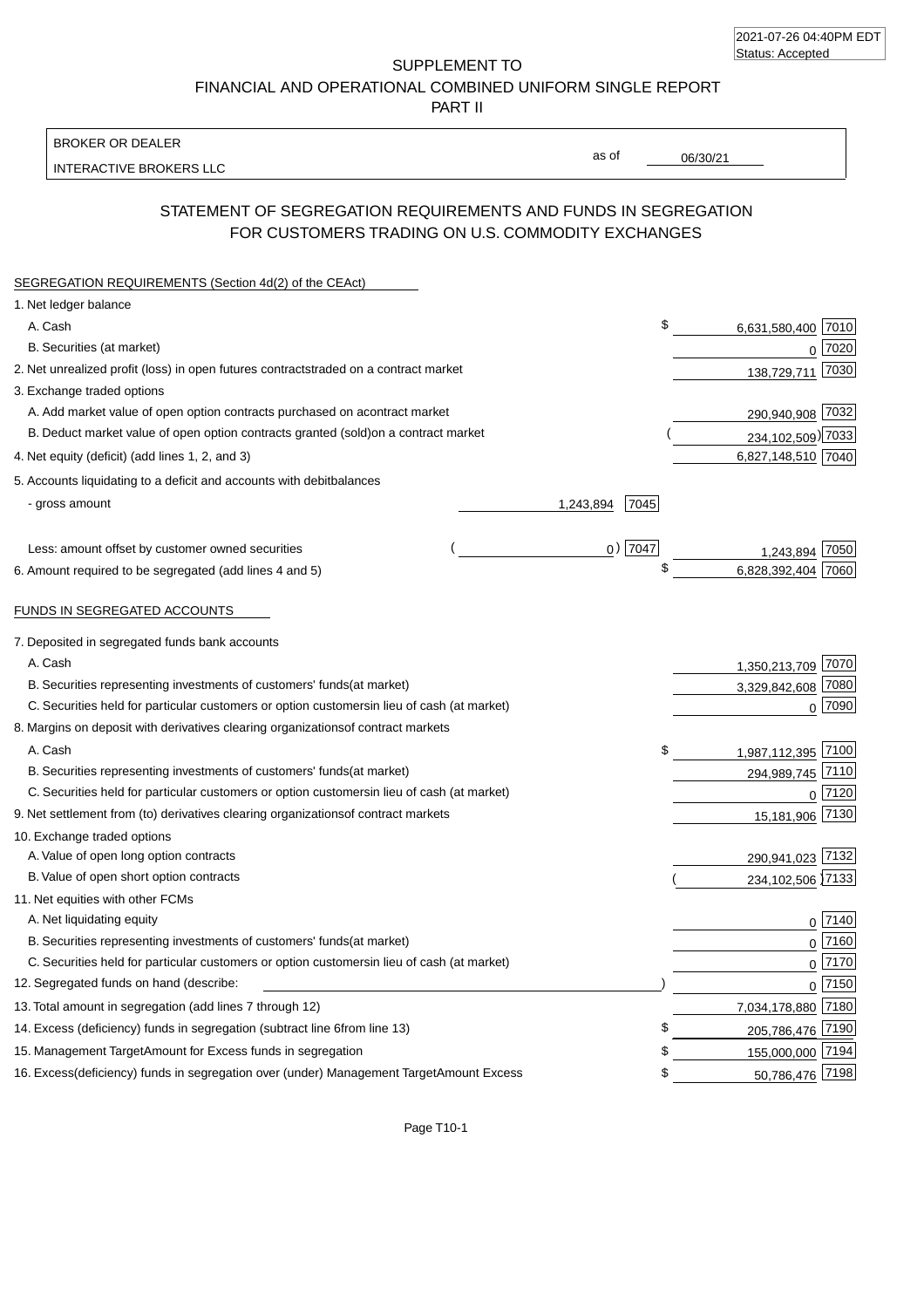| 2021-07-26 04:40PM EDT |  |
|------------------------|--|
| Status: Accepted       |  |

SUPPLEMENT TO FINANCIAL AND OPERATIONAL COMBINED UNIFORM SINGLE REPORT

PART II

#### BROKER OR DEALER

INTERACTIVE BROKERS LLC

06/30/21

as of

### STATEMENT OF SEGREGATION REQUIREMENTS AND FUNDS IN SEGREGATION FOR CUSTOMERS TRADING ON U.S. COMMODITY EXCHANGES

| SEGREGATION REQUIREMENTS (Section 4d(2) of the CEAct)                                          |            |                    |              |
|------------------------------------------------------------------------------------------------|------------|--------------------|--------------|
| 1. Net ledger balance                                                                          |            |                    |              |
| A. Cash                                                                                        | \$         | 6,631,580,400      | 7010         |
| B. Securities (at market)                                                                      |            | $\Omega$           | 7020         |
| 2. Net unrealized profit (loss) in open futures contracts<br>traded on a contract market       |            | 138,729,711        | 7030         |
| 3. Exchange traded options                                                                     |            |                    |              |
| A. Add market value of open option contracts purchased on a<br>contract market                 |            | 290,940,908 7032   |              |
| B. Deduct market value of open option contracts granted (sold)<br>on a contract market         |            | 234,102,509) 7033  |              |
| 4. Net equity (deficit) (add lines 1, 2, and 3)                                                |            | 6,827,148,510 7040 |              |
| 5. Accounts liquidating to a deficit and accounts with debit<br>balances                       |            |                    |              |
| - gross amount<br>1,243,894                                                                    | 7045       |                    |              |
| Less: amount offset by customer owned securities                                               | $0)$  7047 | 1.243.894          | 7050         |
| 6. Amount required to be segregated (add lines 4 and 5)                                        |            | 6.828.392.404      | 7060         |
| FUNDS IN SEGREGATED ACCOUNTS                                                                   |            |                    |              |
| 7. Deposited in segregated funds bank accounts                                                 |            |                    |              |
| A. Cash                                                                                        |            | 1,350,213,709 7070 |              |
| B. Securities representing investments of customers' funds<br>(at market)                      |            | 3,329,842,608 7080 |              |
| C. Securities held for particular customers or option customers<br>in lieu of cash (at market) |            |                    | $0$ 7090     |
| 8. Margins on deposit with derivatives clearing organizations<br>of contract markets           |            |                    |              |
| A. Cash                                                                                        | \$         | 1,987,112,395 7100 |              |
| B. Securities representing investments of customers' funds<br>(at market)                      |            | 294,989,745 7110   |              |
| C. Securities held for particular customers or option customers<br>in lieu of cash (at market) |            |                    | $0$ 7120     |
| 9. Net settlement from (to) derivatives clearing organizations<br>of contract markets          |            | 15,181,906 7130    |              |
| 10. Exchange traded options                                                                    |            |                    |              |
| A. Value of open long option contracts                                                         |            | 290,941,023 7132   |              |
| B. Value of open short option contracts                                                        |            | 234, 102, 506 7133 |              |
| 11. Net equities with other FCMs                                                               |            |                    |              |
| A. Net liquidating equity                                                                      |            |                    | $0$   $7140$ |
| B. Securities representing investments of customers' funds<br>(at market)                      |            |                    | $0$   $7160$ |
| C. Securities held for particular customers or option customers<br>in lieu of cash (at market) |            |                    | $0$ 7170     |
| 12. Segregated funds on hand (describe:                                                        |            |                    | 0 7150       |
| 13. Total amount in segregation (add lines 7 through 12)                                       |            | 7,034,178,880 7180 |              |
| 14. Excess (deficiency) funds in segregation (subtract line 6 from line 13)                    | \$         | 205,786,476 7190   |              |
| 15. Management Target Amount for Excess funds in segregation                                   | \$         | 155,000,000 7194   |              |
| 16. Excess (deficiency) funds in segregation over (under) Management Target Amount Excess      | \$         | 50,786,476 7198    |              |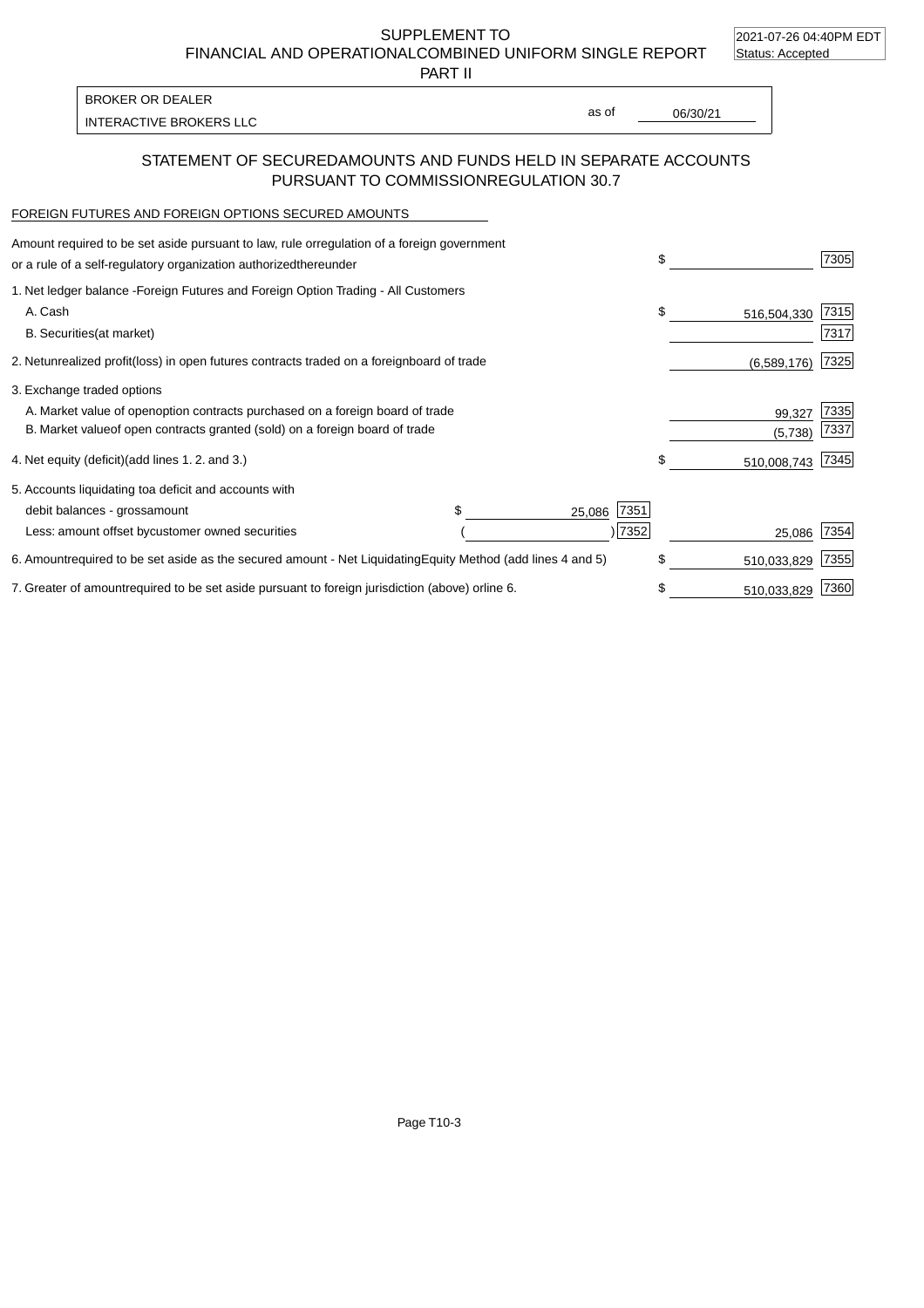2021-07-26 04:40PM EDT

SUPPLEMENT TO

FINANCIAL AND OPERATIONAL COMBINED UNIFORM SINGLE REPORT Status: Accepted

PART II

INTERACTIVE BROKERS LLC and the state of the state of the state of the state of the state of the state of the state of the state of the state of the state of the state of the state of the state of the state of the state of BROKER OR DEALER

as of

# STATEMENT OF SECURED AMOUNTS AND FUNDS HELD IN SEPARATE ACCOUNTS

PURSUANT TO COMMISSION REGULATION 30.7

#### FOREIGN FUTURES AND FOREIGN OPTIONS SECURED AMOUNTS

| Amount required to be set aside pursuant to law, rule or<br>regulation of a foreign government<br>or a rule of a self-regulatory organization authorized<br>thereunder |                                   | \$                | 7305 |
|------------------------------------------------------------------------------------------------------------------------------------------------------------------------|-----------------------------------|-------------------|------|
| 1. Net ledger balance - Foreign Futures and Foreign Option Trading - All Customers                                                                                     |                                   |                   |      |
| A. Cash                                                                                                                                                                |                                   | \$<br>516,504,330 | 7315 |
| <b>B.</b> Securities<br>(at market)                                                                                                                                    |                                   |                   | 7317 |
| unrealized profit (loss) in open futures contracts traded on a foreign<br>2. Net                                                                                       | board of trade                    | (6,589,176)       | 7325 |
| 3. Exchange traded options                                                                                                                                             |                                   |                   |      |
| A. Market value of open option contracts purchased on a foreign board of trade                                                                                         |                                   | 99,327            | 7335 |
| B. Market value of open contracts granted (sold) on a foreign board of trade                                                                                           |                                   | (5,738)           | 7337 |
| 4. Net equity (deficit) (add lines 1.2. and 3.)                                                                                                                        |                                   | 510,008,743       | 7345 |
| 5. Accounts liquidating to a deficit and accounts with                                                                                                                 |                                   |                   |      |
| debit balances - gross<br>amount                                                                                                                                       | 7351<br>25,086                    |                   |      |
| Less: amount offset by<br>customer owned securities                                                                                                                    | 7352                              | 25,086            | 7354 |
| 6. Amount required to be set aside as the secured amount - Net Liquidating                                                                                             | Equity Method (add lines 4 and 5) | \$<br>510,033,829 | 7355 |
| 7. Greater of amount required to be set aside pursuant to foreign jurisdiction (above) or line 6.                                                                      |                                   | \$<br>510,033,829 | 7360 |